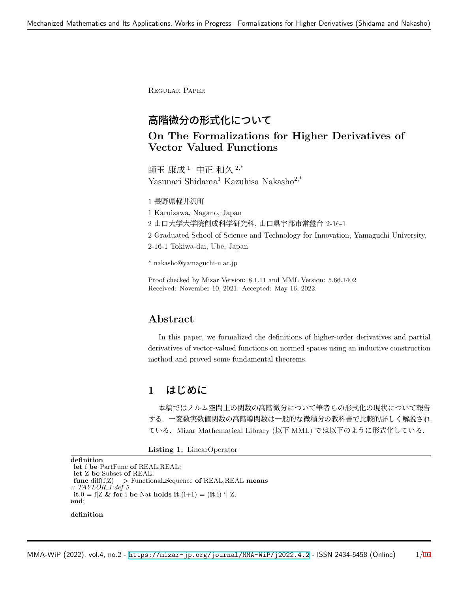Regular Paper

# 高階微分の形式化について

# **On The Formalizations for Higher Derivatives of Vector Valued Functions**

師玉 康成<sup>1</sup> 中正 和久  $2,^*$ Yasunari Shidama<sup>1</sup> Kazuhisa Nakasho<sup>2,\*</sup>

1 長野県軽井沢町

1 Karuizawa, Nagano, Japan

2 山口大学大学院創成科学研究科, 山口県宇部市常盤台 2-16-1

2 Graduated School of Science and Technology for Innovation, Yamaguchi University,

2-16-1 Tokiwa-dai, Ube, Japan

\* nakasho@yamaguchi-u.ac.jp

Proof checked by Mizar Version: 8.1.11 and MML Version: 5.66.1402 Received: November 10, 2021. Accepted: May 16, 2022.

# **Abstract**

In this paper, we formalized the definitions of higher-order derivatives and partial derivatives of vector-valued functions on normed spaces using an inductive construction method and proved some fundamental theorems.

## **1** はじめに

本稿ではノルム空間上の関数の高階微分について筆者らの形式化の現状について報告 する.一変数実数値関数の高階導関数は一般的な微積分の教科書で比較的詳しく解説され ている.Mizar Mathematical Library (以下 MML) では以下のように形式化している.

**Listing 1.** LinearOperator

```
definition
let f be PartFunc of REAL,REAL;
let Z be Subset of REAL;
func diff(f,Z) −> Functional Sequence of REAL,REAL means
:: TAYLOR 1:def 5
it.0 = f|Z & for i be Nat holds it.(i+1) = (it.i) '| Z;
end;
```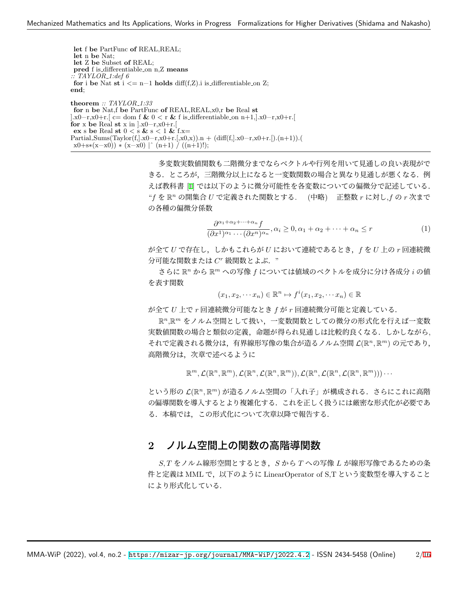**let** f **be** PartFunc **of** REAL,REAL; **let** n **be** Nat; **let** Z **be** Subset **of** REAL; **pred** f is differentiable on n,Z **means** *:: TAYLOR 1:def 6* **for** i **be** Nat **st**  $i \leq n-1$  **holds** diff(f,Z).i is differentiable on Z; **end**; **theorem** *:: TAYLOR 1:33*

**for** n **be** Nat,f **be** PartFunc **of** REAL,REAL,x0,r **be** Real **st** ].x0−r,x0+r.[ c= dom f **&** 0 *<* r **&** f is differentiable on n+1,].x0−r,x0+r.[ **for** x **be** Real **st** x in ].x0−r,x0+r.[ **ex** s **be** Real **st** 0 *<* s **&** s *<* 1 **&** f.x=  $Partial\_{\text{Sums}}(\text{Taylor}(f,].x0-r,x0+r.[,x0,x)).n + (\text{diff}(f,].x0-r,x0+r.[). (n+1)).($ x0+s∗(x−x0)) ∗ (x−x0) *|*ˆ (n+1) / ((n+1)!);

> 多変数実数値関数も二階微分までならベクトルや行列を用いて見通しの良い表現がで きる.ところが,三階微分以上になると一変数関数の場合と異なり見通しが悪くなる.例 えば教科書 [[1\]](#page-15-1) では以下のように微分可能性を各変数についての偏微分で記述している. "*f* を R *<sup>n</sup>* の開集合 *U* で定義された関数とする. (中略) 正整数 *r* に対し,*f* の *r* 次まで の各種の偏微分係数

<span id="page-1-0"></span>
$$
\frac{\partial^{\alpha_1+\alpha_2+\cdots+\alpha_n} f}{(\partial x^1)^{\alpha_1}\cdots(\partial x^n)^{\alpha_n}}, \alpha_i \ge 0, \alpha_1+\alpha_2+\cdots+\alpha_n \le r
$$
\n(1)

が全て *U* で存在し,しかもこれらが *U* において連続であるとき,*f* を *U* 上の *r* 回連続微 分可能な関数または *C <sup>r</sup>* 級関数とよぶ."

さらに R *<sup>n</sup>* から R *<sup>m</sup>* への写像 *f* については値域のベクトルを成分に分け各成分 *i* の値 を表す関数

$$
(x_1, x_2, \cdots x_n) \in \mathbb{R}^n \mapsto f^i(x_1, x_2, \cdots x_n) \in \mathbb{R}
$$

が全て *U* 上で *r* 回連続微分可能なとき *f* が *r* 回連続微分可能と定義している.

R *<sup>n</sup>*,R *<sup>m</sup>* をノルム空間として扱い,一変数関数としての微分の形式化を行えば一変数 実数値関数の場合と類似の定義,命題が得られ見通しは比較的良くなる.しかしながら, それで定義される微分は,有界線形写像の集合が造るノルム空間 *L*(R *<sup>n</sup>,* R *<sup>m</sup>*) の元であり, 高階微分は,次章で述べるように

 $\mathbb{R}^m, \mathcal{L}(\mathbb{R}^n,\mathbb{R}^m), \mathcal{L}(\mathbb{R}^n,\mathcal{L}(\mathbb{R}^n,\mathbb{R}^m)), \mathcal{L}(\mathbb{R}^n,\mathcal{L}(\mathbb{R}^n,\mathcal{L}(\mathbb{R}^n,\mathbb{R}^m)))\cdots$ 

という形の *L*(R *<sup>n</sup>,* R *<sup>m</sup>*) が造るノルム空間の「入れ子」が構成される.さらにこれに高階 の偏導関数を導入するとより複雑化する.これを正しく扱うには厳密な形式化が必要であ る.本稿では,この形式化について次章以降で報告する.

## **2** ノルム空間上の関数の高階導関数

*S, T* をノルム線形空間とするとき,*S* から *T* への写像 *L* が線形写像であるための条 件と定義は MML で,以下のように LinearOperator of S,T という変数型を導入すること により形式化している.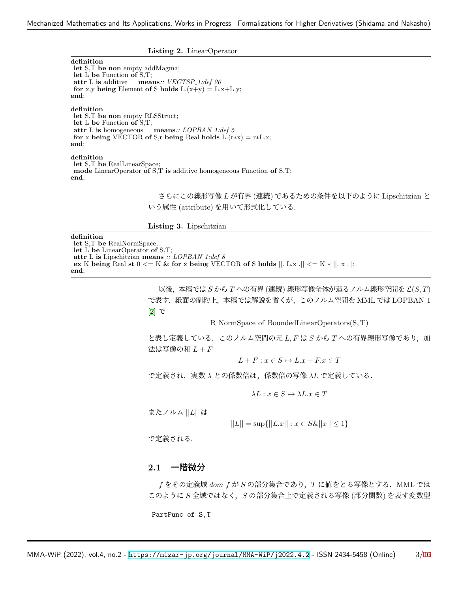**Listing 2.** LinearOperator

**definition**

**let** S,T **be non** empty addMagma; **let** L **be** Function **of** S,T; **attr** L **is** additive **means***:: VECTSP 1:def 20* **for** x,y **being** Element **of** S **holds**  $L.(x+y) = L.x+L.y;$ **end**; **definition let** S,T **be non** empty RLSStruct;

**let** L **be** Function **of** S,T; **attr** L **is** homogeneous **means***:: LOPBAN 1:def 5* **for** x **being** VECTOR **of** S,r **being** Real **holds** L.(r∗x) = r∗L.x; **end**;

### **definition**

**let** S,T **be** RealLinearSpace; **mode** LinearOperator **of** S,T **is** additive homogeneous Function **of** S,T; **end**;

> さらにこの線形写像 *L* が有界 (連続) であるための条件を以下のように Lipschitzian と いう属性 (attribute) を用いて形式化している.

**Listing 3.** Lipschitzian

#### **definition**

**let** S,T **be** RealNormSpace;

**let** L **be** LinearOperator **of** S,T;

**attr** L **is** Lipschitzian **means** *:: LOPBAN 1:def 8* **ex** K **being** Real **st** 0 *<*= K **& for** x **being** VECTOR **of** S **holds** *||*. L.x .*|| <*= K ∗ *||*. x .*||*;

**end**;

以後,本稿では *S* から *T* への有界 (連続) 線形写像全体が造るノルム線形空間を *L*(*S, T*) で表す.紙面の制約上,本稿では解説を省くが,このノルム空間を MML では LOPBAN 1 [[2\]](#page-15-2) で

R NormSpace of BoundedLinearOperators(S*,* T)

と表し定義している. このノルム空間の元 L, F は S から T への有界線形写像であり, 加 法は写像の和 *L* + *F*

 $L + F: x \in S \mapsto L \cdot x + F \cdot x \in T$ 

で定義され,実数 *λ* との係数倍は,係数倍の写像 *λL* で定義している.

 $\lambda L : x \in S \mapsto \lambda L.x \in T$ 

またノルム *||L||* は

$$
||L|| = \sup{||L.x|| : x \in S\&||x|| \le 1}
$$

で定義される.

### **2.1** 一階微分

*f* をその定義域 *dom f* が *S* の部分集合であり,*T* に値をとる写像とする.MML では このように *S* 全域ではなく,*S* の部分集合上で定義される写像 (部分関数) を表す変数型

PartFunc of S,T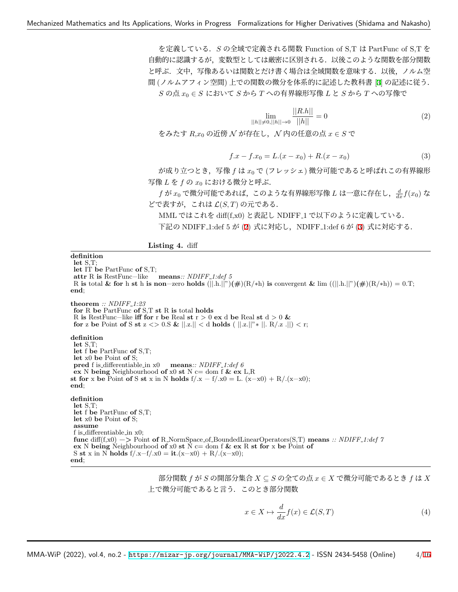を定義している.*S* の全域で定義される関数 Function of S,T は PartFunc of S,T を 自動的に認識するが,変数型としては厳密に区別される.以後このような関数を部分関数 と呼ぶ.文中,写像あるいは関数とだけ書く場合は全域関数を意味する.以後,ノルム空 間 (ノルムアフィン空間) 上での関数の微分を体系的に記述した教科書 [\[3](#page-15-3)] の記述に従う. *S* の点 *x*<sup>0</sup> *∈ S* において *S* から *T* への有界線形写像 *L* と *S* から *T* への写像で

<span id="page-3-0"></span>
$$
\lim_{||h|| \neq 0, ||h|| \to 0} \frac{||R.h||}{||h||} = 0
$$
\n(2)

をみたす *R*,*x*<sup>0</sup> の近傍 *N* が存在し,*N* 内の任意の点 *x ∈ S* で

<span id="page-3-1"></span>
$$
f \cdot x - f \cdot x_0 = L \cdot (x - x_0) + R \cdot (x - x_0) \tag{3}
$$

が成り立つとき,写像 *f* は *x*<sup>0</sup> で (フレッシェ) 微分可能であると呼ばれこの有界線形 写像 *L* を *f* の *x*<sup>0</sup> における微分と呼ぶ.

 $f$  が  $x_0$  で微分可能であれば,このような有界線形写像  $L$  は一意に存在し, $\frac{d}{dx} f(x_0)$  な どで表すが,これは *L*(*S, T*) の元である.

MML ではこれを diff(f,x0) と表記し NDIFF 1 で以下のように定義している.

下記の NDIFF<sub>-1:def</sub> 5 が ([2\)](#page-3-0) 式に対応し, NDIFF<sub>-1:def</sub> 6 が [\(3](#page-3-1)) 式に対応する.

Listing 4. diff

**definition let** S,T; **let** IT **be** PartFunc **of** S,T; **attr** R **is** RestFunc−like **means***:: NDIFF 1:def 5* R **is** total **& for** h **st** h **is non**−zero **holds** (*||*.h.*||*")**(#**)(R/∗h) **is** convergent **&** lim ((*||*.h.*||*")**(#**)(R/∗h)) = 0.T; **end**; **theorem** *:: NDIFF 1:23* **for** R **be** PartFunc **of** S,T **st** R **is** total **holds** R **is** RestFunc−like **iff for** r **be** Real **st** r *>* 0 **ex** d **be** Real **st** d *>* 0 **& for** z be Point of S st  $z \le 0.$  &  $||z|| \le d$  holds (  $||z||^* \times ||z|| \le R/z$ .*||*)  $\lt r$ ; **definition let** S,T; **let** f **be** PartFunc **of** S,T; **let** x0 **be** Point **of** S; **pred** f is differentiable in x0 **means***:: NDIFF 1:def 6* **ex** N **being** Neighbourhood **of** x0 **st** N c= dom f **& ex** L,R **st for** x **be** Point **of** S **st** x in N **holds**  $f/x - f/x0 = L$ .  $(x-x0) + R/(x-x0)$ ; **end**; **definition let** S,T; **let** f **be** PartFunc **of** S,T; **let** x0 **be** Point **of** S; **assume** f is differentiable in x0; **func** diff(f,x0) −*>* Point **of** R NormSpace of BoundedLinearOperators(S,T) **means** *:: NDIFF 1:def 7* **ex** N **being** Neighbourhood **of** x0 **st**  $\hat{N}$  c= dom f & **ex** R **st** for x be Point of S **st** x in N **holds** f/.x−f/.x0 = **it**.(x−x0) + R/.(x−x0); **end**;

> 部分関数 *f* が *S* の開部分集合 *X ⊆ S* の全ての点 *x ∈ X* で微分可能であるとき *f* は *X* 上で微分可能であると言う.このとき部分関数

$$
x \in X \mapsto \frac{d}{dx} f(x) \in \mathcal{L}(S, T) \tag{4}
$$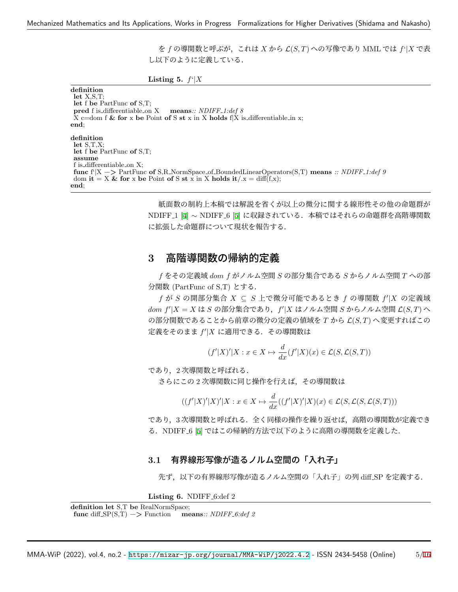を *f* の導関数と呼ぶが,これは *X* から *L*(*S, T*) への写像であり MML では *f*'*|X* で表 し以下のように定義している.

**Listing 5.**  $f^{\prime}|X$ 

**definition let** X,S,T; **let** f **be** PartFunc **of** S,T; **pred** f is differentiable on X **means***:: NDIFF 1:def 8* X c=dom f **& for** x **be** Point **of** S **st** x in X **holds** f*|*X is differentiable in x; **end**; **definition let** S,T,X; **let** f **be** PartFunc **of** S,T; **assume** f is differentiable on X; **func** f'*|*X −*>* PartFunc **of** S,R NormSpace of BoundedLinearOperators(S,T) **means** *:: NDIFF 1:def 9* dom **it** = X & for x be Point of S st x in X holds  $it/x = diff(f,x);$ **end**;

> 紙面数の制約上本稿では解説を省くが以上の微分に関する線形性その他の命題群が NDIFF 1 [[4\]](#page-15-4) *∼* NDIFF 6 [[5\]](#page-15-5) に収録されている.本稿ではそれらの命題群を高階導関数 に拡張した命題群について現状を報告する.

# **3** 高階導関数の帰納的定義

*f* をその定義域 *dom f* がノルム空間 *S* の部分集合である *S* からノルム空間 *T* への部 分関数 (PartFunc of S,T) とする.

*f* が *S* の開部分集合 *X ⊆ S* 上で微分可能であるとき *f* の導関数 *f ′ |X* の定義域 *dom f′ |X* = *X* は *S* の部分集合であり,*f ′ |X* はノルム空間 *S* からノルム空間 *L*(*S, T*) へ の部分関数であることから前章の微分の定義の値域を *T* から *L*(*S, T*) へ変更すればこの 定義をそのまま *f ′ |X* に適用できる.その導関数は

$$
(f'|X)'|X: x \in X \mapsto \frac{d}{dx}(f'|X)(x) \in \mathcal{L}(S, \mathcal{L}(S, T))
$$

であり,2 次導関数と呼ばれる.

さらにこの 2 次導関数に同じ操作を行えば,その導関数は

$$
((f'|X)'|X)'|X : x \in X \mapsto \frac{d}{dx}((f'|X)'|X)(x) \in \mathcal{L}(S, \mathcal{L}(S, \mathcal{L}(S, T)))
$$

であり,3 次導関数と呼ばれる.全く同様の操作を繰り返せば,高階の導関数が定義でき る.NDIFF 6 [[5](#page-15-5)] ではこの帰納的方法で以下のように高階の導関数を定義した.

## **3.1** 有界線形写像が造るノルム空間の「入れ子」

先ず,以下の有界線形写像が造るノルム空間の「入れ子」の列 diff SP を定義する.

Listing 6. NDIFF<sub>-6</sub>:def 2

```
definition let S,T be RealNormSpace;
func diff SP(S,T) \rightarrow Function means:: NDIFF 6:def 2
```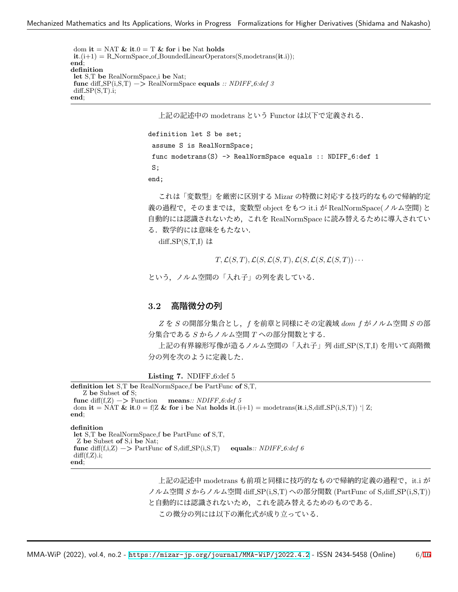dom **it** = NAT  $\&$  **it**.0 = T  $\&$  for i be Nat holds  $it.(i+1) = R_NormSpace_of_BoundedLinear Operators(S,modetrans(it.i));$ **end**; **definition let** S,T **be** RealNormSpace,i **be** Nat; **func** diff SP(i,S,T) −*>* RealNormSpace **equals** *:: NDIFF 6:def 3*  $diff\_SP(S,T).i;$ **end**;

上記の記述中の modetrans という Functor は以下で定義される.

```
definition let S be set;
assume S is RealNormSpace;
func modetrans(S) -> RealNormSpace equals :: NDIFF_6:def 1
S;
end;
```
これは「変数型」を厳密に区別する Mizar の特徴に対応する技巧的なもので帰納的定 義の過程で,そのままでは,変数型 object をもつ it.i が RealNormSpace(ノルム空間) と 自動的には認識されないため,これを RealNormSpace に読み替えるために導入されてい る.数学的には意味をもたない.

diff  $SP(S,T,I)$  は

 $T, \mathcal{L}(S, T), \mathcal{L}(S, \mathcal{L}(S, T), \mathcal{L}(S, \mathcal{L}(S, \mathcal{L}(S, T)) \cdot \cdot \cdot$ 

という,ノルム空間の「入れ子」の列を表している.

## **3.2** 高階微分の列

*Z* を *S* の開部分集合とし,*f* を前章と同様にその定義域 *dom f* がノルム空間 *S* の部 分集合である *S* からノルム空間 *T* への部分関数とする.

上記の有界線形写像が造るノルム空間の「入れ子」列 diff SP(S,T,I) を用いて高階微 分の列を次のように定義した.

**Listing 7.** NDIFF<sub>-6</sub>:def 5

```
definition let S,T be RealNormSpace,f be PartFunc of S,T,
   Z be Subset of S;
func diff(f,Z) \rightarrow Function means:: NDIFF 6:def 5
dom it = NAT & it.0 = f|Z & for i be Nat holds it.(i+1) = modetrans(it.i,S,diff SP(i,S,T)) '| Z;
end;
definition
let S,T be RealNormSpace,f be PartFunc of S,T,
 Z be Subset of S,i be Nat;
func diff(f,i,Z) → PartFunc of S,diff_SP(i,S,T) equals:: NDIFF_6:def 6
diff(f,Z).i;end;
```
上記の記述中 modetrans も前項と同様に技巧的なもので帰納的定義の過程で, it.i が ノルム空間 *S* からノルム空間 diff SP(i,S,T) への部分関数 (PartFunc of S,diff SP(i,S,T)) と自動的には認識されないため,これを読み替えるためのものである. この微分の列には以下の漸化式が成り立っている.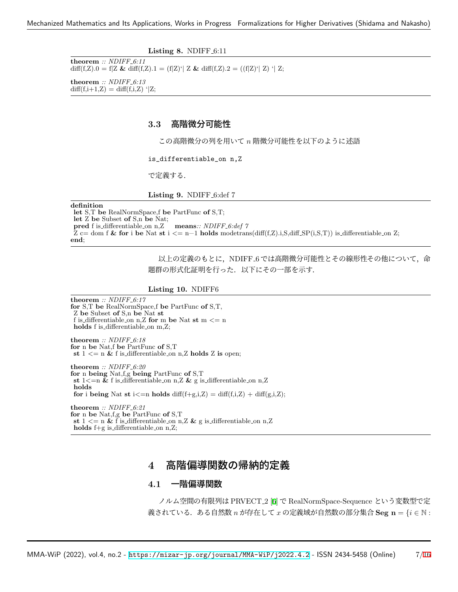**Listing 8. NDIFF**<sub>-6:11</sub>

**theorem** *:: NDIFF 6:11* diff(f,Z).0 = f|Z & diff(f,Z).1 = (f|Z)'| Z & diff(f,Z).2 = ((f|Z)'| Z) '| Z;

**theorem** *:: NDIFF 6:13*  $diff(f,i+1,Z) = diff(f,i,Z)$  '|Z;

## **3.3** 高階微分可能性

この高階微分の列を用いて *n* 階微分可能性を以下のように述語

is\_differentiable\_on n,Z

で定義する.

Listing 9. NDIFF<sub>-6</sub>:def 7

#### **definition**

**let** S,T **be** RealNormSpace,f **be** PartFunc **of** S,T; **let** Z **be** Subset **of** S,n **be** Nat; **pred** f is differentiable on n,Z **means***:: NDIFF 6:def 7*  $\overline{Z}$  c= dom f & for i be Nat st i  $\leq$  n-1 holds mode trans(diff(f,Z).i,S,diff SP(i,S,T)) is differentiable on Z; **end**;

> 以上の定義のもとに,NDIFF 6 では高階微分可能性とその線形性その他について,命 題群の形式化証明を行った.以下にその一部を示す.

#### **Listing 10.** NDIFF6

**theorem** *:: NDIFF 6:17* **for** S,T **be** RealNormSpace,f **be** PartFunc **of** S,T, Z **be** Subset **of** S,n **be** Nat **st** f is differentiable on n,Z **for** m **be** Nat **st** m *<*= n **holds** f is differentiable on m, Z;

**theorem** *:: NDIFF 6:18* **for** n **be** Nat,f **be** PartFunc **of** S,T **st**  $1 \leq n \&$  f is differentiable on n,Z **holds** Z **is** open;

**theorem** *:: NDIFF 6:20* **for** n **being** Nat,f,g **being** PartFunc **of** S,T **st**  $1 \leq n \&$  f is differentiable on n,Z  $\&$  g is differentiable on n,Z **holds for** i **being** Nat **st** i $\leq$ =n **holds** diff(f+g,i,Z) = diff(f,i,Z) + diff(g,i,Z);

**theorem** *:: NDIFF 6:21* **for** n **be** Nat,f,g **be** PartFunc **of** S,T **st** 1 *<*= n **&** f is differentiable on n,Z **&** g is differentiable on n,Z **holds** f+g is\_differentiable\_on n,Z;

## **4** 高階偏導関数の帰納的定義

## **4.1** 一階偏導関数

ノルム空間の有限列は PRVECT 2 [\[6](#page-15-6)] で RealNormSpace-Sequence という変数型で定 義されている.ある自然数 *n* が存在して *x* の定義域が自然数の部分集合 **Seg n** = *{i ∈* N :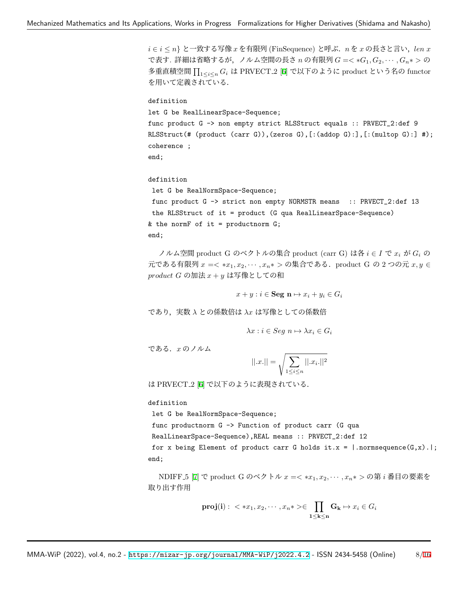*i ∈ i ≤ n}* と一致する写像 *x* を有限列 (FinSequence) と呼ぶ.*n* を *x* の長さと言い,*len x* で表す. 詳細は省略するが,ノルム空間の長さ *n* の有限列 *G* =*< ∗G*1*, G*2*, · · · , Gn∗ >* の 多重直積空間 Q <sup>1</sup>*≤i≤<sup>n</sup> <sup>G</sup><sup>i</sup>* <sup>は</sup> PRVECT 2 [\[6](#page-15-6)] で以下のように product という名の functor を用いて定義されている.

definition let G be RealLinearSpace-Sequence; func product G -> non empty strict RLSStruct equals :: PRVECT\_2:def 9 RLSStruct(# (product (carr G)),(zeros G),[:(addop G):],[:(multop G):] #); coherence ; end;

### definition

let G be RealNormSpace-Sequence;

func product G -> strict non empty NORMSTR means :: PRVECT\_2:def 13 the RLSStruct of it = product (G qua RealLinearSpace-Sequence) & the normF of it = productnorm  $G$ ; end;

ノルム空間 product G のベクトルの集合 product (carr G) は各 *i ∈ I* で *x<sup>i</sup>* が *G<sup>i</sup>* の 元である有限列 *x* =*< ∗x*1*, x*2*, · · · , xn∗ >* の集合である.product G の 2 つの元 *x, y ∈ product G* の加法 *x* + *y* は写像としての和

$$
x + y : i \in \mathbf{Seg} \ \mathbf{n} \mapsto x_i + y_i \in G_i
$$

であり,実数 *λ* との係数倍は *λx* は写像としての係数倍

$$
\lambda x : i \in \text{Seg } n \mapsto \lambda x_i \in G_i
$$

である.*x* のノルム

$$
||.x.|| = \sqrt{\sum_{1 \le i \le n} ||.x_i.||^2}
$$

は PRVECT 2 [\[6](#page-15-6)] で以下のように表現されている.

### definition

let G be RealNormSpace-Sequence;

func productnorm G -> Function of product carr (G qua

RealLinearSpace-Sequence),REAL means :: PRVECT\_2:def 12

for x being Element of product carr G holds it.x =  $| .$  normsequence(G,x).|; end;

NDIFF 5 [[7\]](#page-15-7) で product G のベクトル *x* =*< ∗x*1*, x*2*, · · · , xn∗ >* の第 *i* 番目の要素を 取り出す作用

$$
\mathbf{proj}(\mathbf{i}): \langle x_1, x_2, \cdots, x_n \rangle \langle \prod_{1 \leq \mathbf{k} \leq \mathbf{n}} \mathbf{G}_{\mathbf{k}} \mapsto x_i \in G_i
$$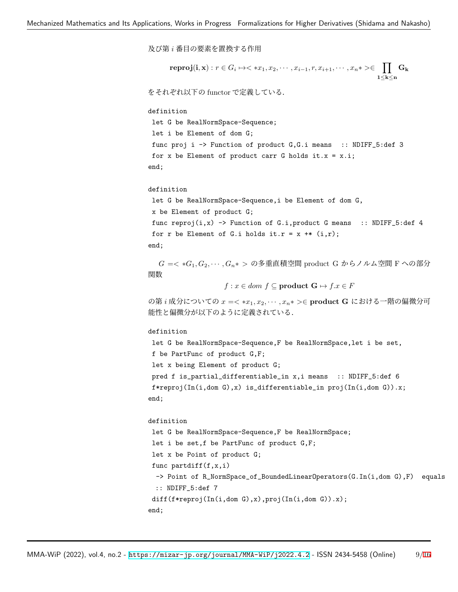及び第 *i* 番目の要素を置換する作用

```
\textbf{reproj}(\mathbf{i},\mathbf{x}): r \in G_i \mapsto \langle\ \ast x_1, x_2, \cdots, x_{i-1}, r, x_{i+1}, \cdots, x_n \ast \rangle \in \prod \mathbf{G_k}1≤k≤n
```
をそれぞれ以下の functor で定義している.

### definition

let G be RealNormSpace-Sequence;

```
let i be Element of dom G;
```
func proj i -> Function of product G, G. i means :: NDIFF\_5:def 3 for x be Element of product carr G holds it. $x = x.i;$ end;

### definition

```
let G be RealNormSpace-Sequence,i be Element of dom G,
x be Element of product G;
func reproj(i,x) \rightarrow Function of G.i, product G means :: NDIFF_5:def 4
for r be Element of G.i holds it.r = x +* (i,r);
end;
```
*G* =*< ∗G*1*, G*2*, · · · , Gn∗ >* の多重直積空間 product G からノルム空間 F への部分 関数

$$
f: x \in dom \ f \subseteq \mathbf{product} \ \mathbf{G} \mapsto f.x \in F
$$

の第 *i* 成分についての *x* =*< ∗x*1*, x*2*, · · · , xn∗ >∈* **product G** における一階の偏微分可 能性と偏微分が以下のように定義されている.

### definition

let G be RealNormSpace-Sequence,F be RealNormSpace,let i be set, f be PartFunc of product G,F; let x being Element of product G; pred f is\_partial\_differentiable\_in x,i means :: NDIFF\_5:def 6 f\*reproj(In(i,dom G),x) is\_differentiable\_in proj(In(i,dom G)).x; end;

```
definition
let G be RealNormSpace-Sequence,F be RealNormSpace;
let i be set,f be PartFunc of product G,F;
let x be Point of product G;
func partdiff(f, x, i)-> Point of R_NormSpace_of_BoundedLinearOperators(G.In(i,dom G),F) equals
 :: NDIFF_5:def 7
diff(f*reproj(In(i,dom G),x),proj(In(i,dom G)).x);
end;
```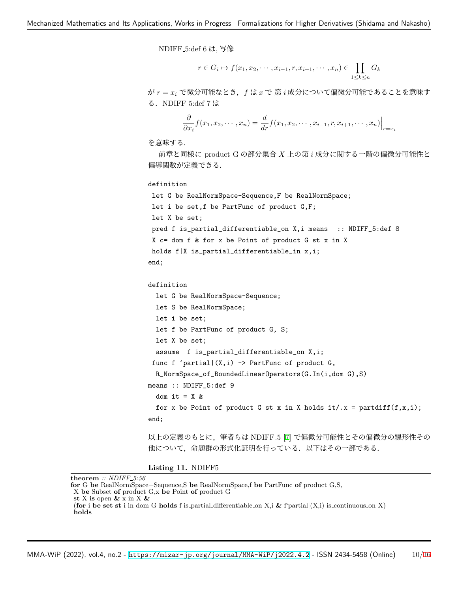NDIFF 5:def 6 は, 写像

$$
r \in G_i \mapsto f(x_1, x_2, \cdots, x_{i-1}, r, x_{i+1}, \cdots, x_n) \in \prod_{1 \le k \le n} G_k
$$

が *r* = *x<sup>i</sup>* で微分可能なとき,*f* は *x* で 第 *i* 成分について偏微分可能であることを意味す る.NDIFF 5:def 7 は

$$
\frac{\partial}{\partial x_i} f(x_1, x_2, \cdots, x_n) = \frac{d}{dr} f(x_1, x_2, \cdots, x_{i-1}, r, x_{i+1}, \cdots, x_n) \Big|_{r=x_i}
$$

を意味する.

前章と同様に product G の部分集合 *X* 上の第 *i* 成分に関する一階の偏微分可能性と 偏導関数が定義できる.

definition

```
let G be RealNormSpace-Sequence,F be RealNormSpace;
let i be set,f be PartFunc of product G,F;
let X be set;
pred f is_partial_differentiable_on X,i means :: NDIFF_5:def 8
X c= dom f & for x be Point of product G st x in X
holds f|X is_partial_differentiable_in x,i;
end;
```

```
definition
```

```
let G be RealNormSpace-Sequence;
```

```
let S be RealNormSpace;
let i be set;
let f be PartFunc of product G, S;
 let X be set;
 assume f is_partial_differentiable_on X,i;
func f 'partial|(X,i) \rightarrow PartFunc of product G,
 R_NormSpace_of_BoundedLinearOperators(G.In(i,dom G),S)
```
means :: NDIFF\_5:def 9

```
dom it = X &for x be Point of product G st x in X holds it/.x = partdiff(f, x, i);
end;
```
以上の定義のもとに,筆者らは NDIFF 5 [[7\]](#page-15-7) で偏微分可能性とその偏微分の線形性その 他について,命題群の形式化証明を行っている.以下はその一部である.

**Listing 11.** NDIFF5

**theorem** *:: NDIFF 5:56*

**for** G **be** RealNormSpace−Sequence,S **be** RealNormSpace,f **be** PartFunc **of** product G,S,

```
X be Subset of product G,x be Point of product G
```

```
st X is open & x in X &
```
<sup>(</sup>**for** i **be set st** i in dom G **holds** f is partial differentiable on X,i **&** f'partial*|*(X,i) is continuous on X) **holds**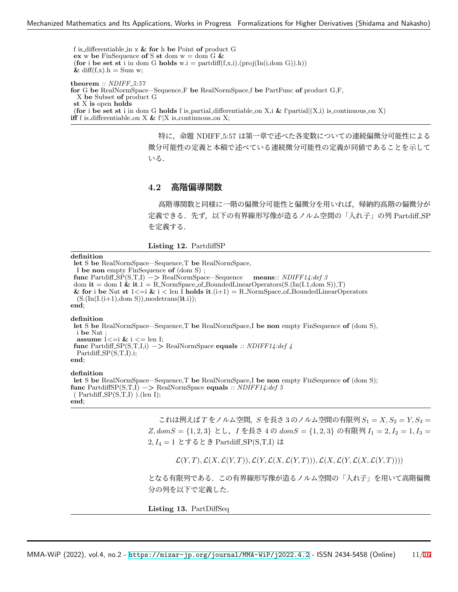f is differentiable in x **& for** h **be** Point **of** product G **ex** w be FinSequence of S st dom  $w = \text{dom } G \&$ (**for** i **be set st** i in dom G **holds** w.i = partdiff(f,x,i).(proj(In(i,dom G)).h))  $\&$  diff(f,x).h = Sum w; **theorem** *:: NDIFF 5:57* **for** G **be** RealNormSpace−Sequence,F **be** RealNormSpace,f **be** PartFunc **of** product G,F, X **be** Subset **of** product G **st** X **is** open **holds** (**for** i **be set st** i in dom G **holds** f is partial differentiable on X,i **&** f'partial*|*(X,i) is continuous on X) **iff** f is differentiable on X &  $f'$ <sup> $\mid$ </sup>X is continuous on X;

> 特に,命題 NDIFF 5:57 は第一章で述べた各変数についての連続偏微分可能性による 微分可能性の定義と本稿で述べている連続微分可能性の定義が同値であることを示して いる.

## **4.2** 高階偏導関数

高階導関数と同様に一階の偏微分可能性と偏微分を用いれば,帰納的高階の偏微分が 定義できる.先ず、以下の有界線形写像が造るノルム空間の「入れ子」の列 Partdiff\_SP を定義する.

**Listing 12.** PartdiffSP

#### **definition**

**let** S **be** RealNormSpace−Sequence,T **be** RealNormSpace, I **be non** empty FinSequence **of** (dom S) ; **func** Partdiff SP(S,T,I) −*>* RealNormSpace−Sequence **means***:: NDIFF14:def 3* dom **it** = dom I **& it**.1 = R NormSpace of BoundedLinearOperators(S.(In(I.1,dom S)),T) & for i be Nat st  $1 \leq i \leq \ell$  i  $\leq \ell$  len I holds it.(i+1) = R\_NormSpace\_of\_BoundedLinearOperators (S.(In(I.(i+1),dom S)),modetrans(**it**.i)); **end**; **definition let** S **be** RealNormSpace−Sequence,T **be** RealNormSpace,I **be non** empty FinSequence **of** (dom S), i **be** Nat ; **assume**  $1 \leq i \& i \leq \text{len } I;$ **func** Partdiff SP(S,T,I,i) −*>* RealNormSpace **equals** *:: NDIFF14:def 4*  $Partdiff\_SP(S,T,I).i;$ **end**;

### **definition**

**let** S **be** RealNormSpace−Sequence,T **be** RealNormSpace,I **be non** empty FinSequence **of** (dom S); **func** PartdiffSP(S,T,I) −*>* RealNormSpace **equals** *:: NDIFF14:def 5*  $(Partdiff\_SP(S,T,I))$ . (len I); **end**;

> これは例えば *T* をノルム空間,*S* を長さ 3 のノルム空間の有限列 *S*<sup>1</sup> = *X, S*<sup>2</sup> = *Y, S*<sup>3</sup> = *Z, domS* = *{*1*,* 2*,* 3*}* とし,*I* を長さ 4 の *domS* = *{*1*,* 2*,* 3*}* の有限列 *I*<sup>1</sup> = 2*, I*<sup>2</sup> = 1*, I*<sup>3</sup> = 2*, I*<sup>4</sup> = 1 とするとき Partdiff SP(S,T,I) は

 $\mathcal{L}(Y,T), \mathcal{L}(X,\mathcal{L}(Y,T)), \mathcal{L}(Y,\mathcal{L}(X,\mathcal{L}(Y,T))), \mathcal{L}(X,\mathcal{L}(Y,\mathcal{L}(X,\mathcal{L}(Y,T))))$ 

となる有限列である.この有界線形写像が造るノルム空間の「入れ子」を用いて高階偏微 分の列を以下で定義した.

**Listing 13.** PartDiffSeq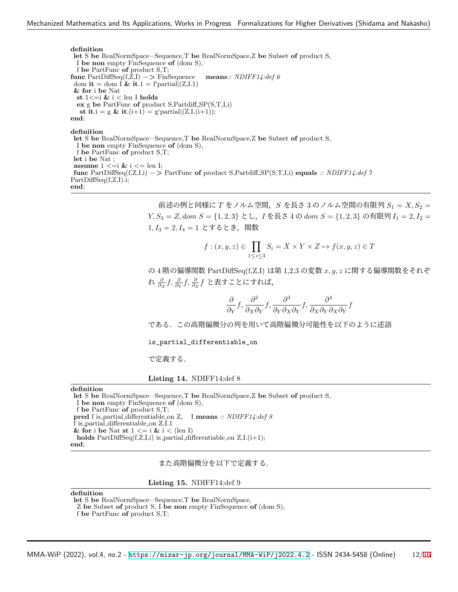#### **definition**

**let** S **be** RealNormSpace−Sequence,T **be** RealNormSpace,Z **be** Subset **of** product S, I **be non** empty FinSequence **of** (dom S), f **be** PartFunc **of** product S,T; **func** PartDiffSeq(f,Z,I) −*>* FinSequence **means***:: NDIFF14:def 6* dom **it** = dom I & **it**.1 = f'partial $|(Z,I.1)|$ **& for** i **be** Nat **st** 1*<*=i **&** i *<* len I **holds ex** g **be** PartFunc **of** product S,Partdiff SP(S,T,I,i) **st it**.i = g & **it**.(i+1) = g'partial $(Z, I, (i+1))$ ; **end**; **definition let** S **be** RealNormSpace−Sequence,T **be** RealNormSpace,Z **be** Subset **of** product S, I **be non** empty FinSequence **of** (dom S), f **be** PartFunc **of** product S,T; **let** i **be** Nat ; **assume** 1 *<*=i **&** i *<*= len I;

**func** PartDiffSeq(f,Z,I,i) −*>* PartFunc **of** product S,Partdiff SP(S,T,I,i) **equals** *:: NDIFF14:def 7* PartDiffSeq(f,Z,I).i; **end**;

> 前述の例と同様に *T* をノルム空間,*S* を長さ 3 のノルム空間の有限列 *S*<sup>1</sup> = *X, S*<sup>2</sup> = *Y, S*<sup>3</sup> = *Z, dom S* = *{*1*,* 2*,* 3*}* とし,*I* を長さ 4 の *dom S* = *{*1*,* 2*,* 3*}* の有限列 *I*<sup>1</sup> = 2*, I*<sup>2</sup> = 1, I<sub>3</sub> = 2, I<sub>4</sub> = 1 とするとき, 関数

$$
f: (x, y, z) \in \prod_{1 \le i \le 3} S_i = X \times Y \times Z \mapsto f(x, y, z) \in T
$$

の 4 階の偏導関数 PartDiffSeq(f,Z,I) は第 1,2,3 の変数 *x, y, z* に関する偏導関数をそれぞ れ *<sup>∂</sup> ∂<sup>X</sup> f, <sup>∂</sup> ∂<sup>Y</sup> f, <sup>∂</sup> ∂<sup>Z</sup> f* と表すことにすれば,

$$
\frac{\partial}{\partial_Y} f, \frac{\partial^2}{\partial_X \partial_Y} f, \frac{\partial^3}{\partial_Y \partial_X \partial_Y} f, \frac{\partial^4}{\partial_X \partial_Y \partial_X \partial_Y} f
$$

である.この高階偏微分の列を用いて高階偏微分可能性を以下のように述語

is\_partial\_differentiable\_on

で定義する.

**Listing 14.** NDIFF14:def 8

**definition**

**let** S **be** RealNormSpace−Sequence,T **be** RealNormSpace,Z **be** Subset **of** product S, I **be non** empty FinSequence **of** (dom S), f **be** PartFunc **of** product S,T; **pred** f is partial differentiable on Z, I **means** *:: NDIFF14:def 8* f is partial differentiable on Z,I.1 & for i be Nat st  $1 \le i \le i \le (\text{len I})$ **holds**  $PartDiffSeq(f,Z,I,i)$  is partial differentiable on  $Z,I(i+1);$ **end**;

また高階偏微分を以下で定義する.

**Listing 15.** NDIFF14:def 9

**definition**

**let** S **be** RealNormSpace−Sequence,T **be** RealNormSpace,

Z **be** Subset **of** product S, I **be non** empty FinSequence **of** (dom S),

f **be** PartFunc **of** product S,T;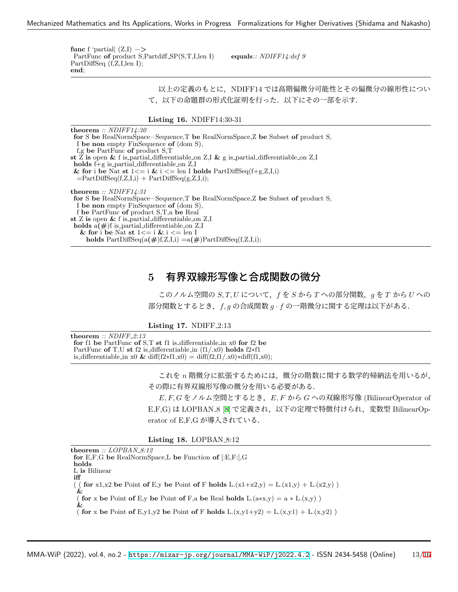**func** f 'partial*|* (Z,I) −*>* PartFunc **of** product S,Partdiff SP(S,T,I,len I) **equals**:: NDIFF14:def 9 PartDiffSeq (f,Z,I,len I); **end**;

> 以上の定義のもとに,NDIFF14 では高階偏微分可能性とその偏微分の線形性につい て,以下の命題群の形式化証明を行った.以下にその一部を示す.

#### **Listing 16.** NDIFF14:30-31

**theorem** *:: NDIFF14:30* **for** S **be** RealNormSpace−Sequence,T **be** RealNormSpace,Z **be** Subset **of** product S, I **be non** empty FinSequence **of** (dom S), f,g **be** PartFunc **of** product S,T **st** Z **is** open **&** f is partial differentiable on Z,I **&** g is partial differentiable on Z,I **holds** f+g is partial differentiable on Z,I & for i be Nat st  $1 \le i \le i \le \text{len } I$  holds  $PartDiffSeq(f+g, Z, I, i)$  $=$ PartDiffSeq $(f,Z,I,i)$  + PartDiffSeq $(g,Z,I,i)$ ; **theorem** *:: NDIFF14:31* **for** S **be** RealNormSpace−Sequence,T **be** RealNormSpace,Z **be** Subset **of** product S, I **be non** empty FinSequence **of** (dom S), f **be** PartFunc **of** product S,T,a **be** Real **st** Z **is** open **&** f is partial differentiable on Z,I **holds** a**(#**)f is partial differentiable on Z,I & for i be Nat st  $1 \leq i \leq k$  i  $\leq$  len I **holds**  $PartDiffSeq(a(\#)f, Z, I, i) = a(\#)PartDiffSeq(f, Z, I, i);$ 

## **5** 有界双線形写像と合成関数の微分

このノルム空間の *S, T, U* について,*f* を *S* から *T* への部分関数,*g* を *T* から *U* への 部分関数とするとき,*f, g* の合成関数 *g · f* の一階微分に関する定理は以下がある.

#### **Listing 17. NDIFF<sub>-2:13</sub>**

**theorem** *:: NDIFF 2:13* **for** f1 **be** PartFunc **of** S,T **st** f1 is differentiable in x0 **for** f2 **be** PartFunc **of** T,U **st** f2 is differentiable in (f1/.x0) **holds** f2∗f1 is differentiable in x0 & diff(f2∗f1,x0) = diff(f2,f1/.x0)∗diff(f1,x0);

> これを *n* 階微分に拡張するためには,微分の階数に関する数学的帰納法を用いるが, その際に有界双線形写像の微分を用いる必要がある.

> *E, F, G* をノルム空間とするとき,*E, F* から *G* への双線形写像 (BilinearOperator of E,F,G) は LOPBAN 8 [[8\]](#page-15-8) で定義され,以下の定理で特徴付けられ,変数型 BilinearOperator of E,F,G が導入されている.

### **Listing 18. LOPBAN<sub>-8:12</sub>**

**theorem** *:: LOPBAN 8:12* **for** E,F,G **be** RealNormSpace,L **be** Function **of** [:E,F:],G **holds** L **is** Bilinear **iff** ( ( **for** x1,x2 **be** Point **of** E,y **be** Point **of** F **holds**  $L.(x1+x2,y) = L.(x1,y) + L.(x2,y)$ ) **&** ( **for** x **be** Point **of** E,y **be** Point **of** F,a **be** Real **holds**  $L.(a*x,y) = a * L.(x,y)$ **&** ( **for** x be Point **of** E,y1,y2 be Point **of** F **holds** L.(x,y1+y2) = L.(x,y1) + L.(x,y2))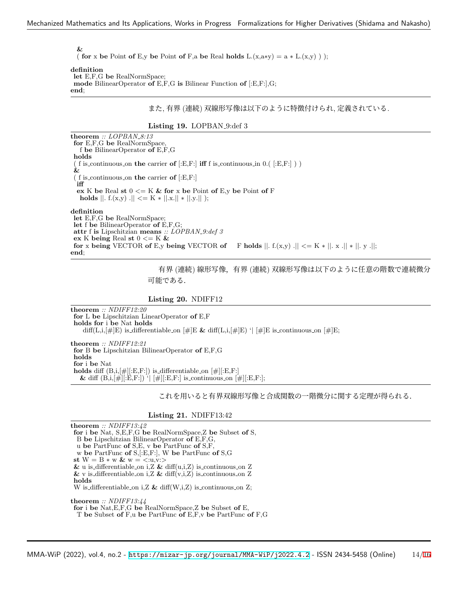### **&**

( **for** x **be** Point **of** E,y **be** Point **of** F,a **be** Real **holds**  $L(x, a*y) = a * L(x,y)$ );

### **definition**

**let** E,F,G **be** RealNormSpace; **mode** BilinearOperator **of** E,F,G **is** Bilinear Function **of** [:E,F:],G; **end**;

また, 有界 (連続) 双線形写像は以下のように特徴付けられ, 定義されている.

**Listing 19.** LOPBAN 9:def 3

**theorem** *:: LOPBAN 8:13* **for** E,F,G **be** RealNormSpace, f **be** BilinearOperator **of** E,F,G **holds** ( f is continuous on **the** carrier **of**  $[E, F:]$  **iff** f is continuous in 0.(  $[E, F:]$  ) **&** ( f is continuous on **the** carrier **of** [:E,F:] **iff ex** K be Real st  $0 \le K \&$  for x be Point of E,y be Point of F **holds**  $||$ . f.(x,y) . $|| \leq K * ||x|| * ||y||$  );

### **definition**

**let** E,F,G **be** RealNormSpace; **let** f **be** BilinearOperator **of** E,F,G; **attr** f **is** Lipschitzian **means** *:: LOPBAN 9:def 3* **ex** K **being** Real **st** 0 *<*= K **& for** x being VECTOR of E,y being VECTOR of F holds  $||. f(x,y) || \le K + ||. x ||_* ||. y ||;$ **end**;

> 有界 (連続) 線形写像,有界 (連続) 双線形写像は以下のように任意の階数で連続微分 可能である.

## **Listing 20.** NDIFF12

**theorem** *:: NDIFF12:20* **for** L **be** Lipschitzian LinearOperator **of** E,F **holds for** i **be** Nat **holds** diff(L,i,[#]E) is differentiable on  $[\#]E \& \text{diff}(L,i,[\#]E)'$   $[\#]E$  is continuous on  $[\#]E$ ; **theorem** *:: NDIFF12:21* **for** B **be** Lipschitzian BilinearOperator **of** E,F,G **holds for** i **be** Nat **holds** diff  $(B,i,[\#][E,F])$  is differentiable on  $[\#][E,F.]$ **&** diff  $(B,i,[\#][E,F:])$  ' $| [\#][E,F:]$  is continuous on  $[\#][E,F:]$ ;

これを用いると有界双線形写像と合成関数の一階微分に関する定理が得られる.

## **Listing 21.** NDIFF13:42

**theorem** *:: NDIFF13:42* **for** i **be** Nat, S,E,F,G **be** RealNormSpace,Z **be** Subset **of** S, B **be** Lipschitzian BilinearOperator **of** E,F,G, u **be** PartFunc **of** S,E, v **be** PartFunc **of** S,F, w **be** PartFunc **of** S,[:E,F:], W **be** PartFunc **of** S,G **st** W = B ∗ w **&** w = *<*:u,v:*>*  $\&$  u is differentiable on i,Z  $\&$  diff(u,i,Z) is continuous on Z  $\&$ v is differentiable on i,Z  $\&$  diff(v,i,Z) is continuous on Z **holds** W is differentiable on i,Z  $\&$  diff(W,i,Z) is continuous on Z;

**theorem** *:: NDIFF13:44* **for** i **be** Nat,E,F,G **be** RealNormSpace,Z **be** Subset **of** E, T **be** Subset **of** F,u **be** PartFunc **of** E,F,v **be** PartFunc **of** F,G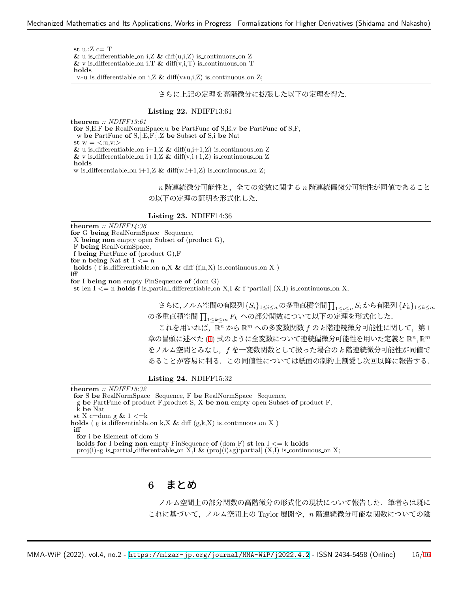**st** u.:Z c= T **&** u is differentiable on i,Z **&** diff(u,i,Z) is continuous on Z  $\&$  v is differentiable on i,  $\&$  diff(v,i,T) is continuous on T **holds** v∗u is differentiable on i,Z **&** diff(v∗u,i,Z) is continuous on Z;

さらに上記の定理を高階微分に拡張した以下の定理を得た.

### **Listing 22.** NDIFF13:61

**theorem** *:: NDIFF13:61* **for** S,E,F **be** RealNormSpace,u **be** PartFunc **of** S,E,v **be** PartFunc **of** S,F, w **be** PartFunc **of** S,[:E,F:],Z **be** Subset **of** S,i **be** Nat  $\text{st } w = \langle w \rangle$  $\&$  u is differentiable on i+1,Z  $\&$  diff(u,i+1,Z) is continuous on Z  $\&$ v is differentiable on i+1,Z  $\&$  diff(v,i+1,Z) is continuous on Z **holds** w is differentiable on  $i+1$ , Z & diff(w, $i+1$ , Z) is continuous on Z;

> $n$  階連続微分可能性と,全ての変数に関する  $n$  階連続偏微分可能性が同値であること の以下の定理の証明を形式化した.

**Listing 23.** NDIFF14:36

**theorem** *:: NDIFF14:36* **for** G **being** RealNormSpace−Sequence, X **being non** empty open Subset **of** (product G), F **being** RealNormSpace, f **being** PartFunc **of** (product G),F **for** n **being** Nat **st** 1 *<*= n  $\mathbf{holds}$  (  $\mathbf{f}$  is differentiable on n,X  $\&$  diff (f,n,X) is continuous on X  $)$ **iff for** I **being non** empty FinSequence **of** (dom G) **st** len  $I \leq n$  **holds** f is partial differentiable on X,**I** & f 'partial| (X,I) is continuous on X;

> さらに,ノルム空間の有限列*{Si}*1*≤i≤<sup>n</sup>* の多重直積空間<sup>Q</sup> <sup>1</sup>*≤i≤<sup>n</sup> <sup>S</sup><sup>i</sup>* から有限列*{Fk}*1*≤k≤<sup>m</sup>* の多重直積空間 Q <sup>1</sup>*≤k≤<sup>m</sup> <sup>F</sup><sup>k</sup>* への部分関数について以下の定理を形式化した. これを用いれば、 $\mathbb{R}^n$  から  $\mathbb{R}^m$  への多変数関数  $f$  の k 階連続微分可能性に関して, 第1 章の冒頭に述べた $(1)$  $(1)$  式のように全変数について連続偏微分可能性を用いた定義と  $\mathbb{R}^n, \mathbb{R}^m$ をノルム空間とみなし,*f* を一変数関数として扱った場合の *k* 階連続微分可能性が同値で あることが容易に判る.この同値性については紙面の制約上割愛し次回以降に報告する.

**Listing 24.** NDIFF15:32

**theorem** *:: NDIFF15:32* **for** S **be** RealNormSpace−Sequence, F **be** RealNormSpace−Sequence, g **be** PartFunc **of** product F,product S, X **be non** empty open Subset **of** product F, k **be** Nat **st** X c=dom g **&** 1 *<*=k **holds** ( g is differentiable on k,X  $\&$  diff (g,k,X) is continuous on X ) **iff for** i **be** Element **of** dom S **holds for** I **being non** empty FinSequence **of** (dom F) **st** len I *<*= k **holds**

proj(i)∗g is partial differentiable on X,I **&** (proj(i)∗g)'partial*|* (X,I) is continuous on X;

## **6** まとめ

ノルム空間上の部分関数の高階微分の形式化の現状について報告した.筆者らは既に これに基づいて,ノルム空間上の Taylor 展開や,*n* 階連続微分可能な関数についての陰